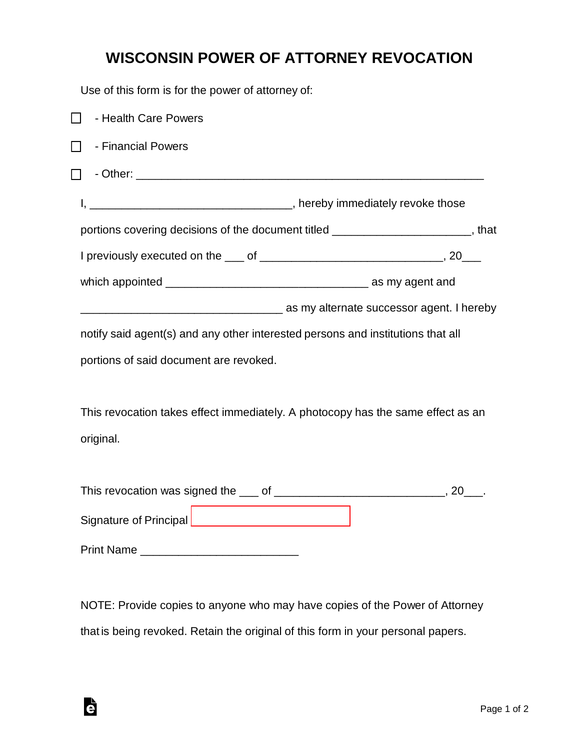## **WISCONSIN POWER OF ATTORNEY REVOCATION**

Use of this form is for the power of attorney of:

| $\Box$<br>- Health Care Powers                                                  |                                                                                   |
|---------------------------------------------------------------------------------|-----------------------------------------------------------------------------------|
| - Financial Powers<br>$\Box$                                                    |                                                                                   |
|                                                                                 |                                                                                   |
|                                                                                 |                                                                                   |
|                                                                                 | portions covering decisions of the document titled ________________________, that |
|                                                                                 |                                                                                   |
|                                                                                 |                                                                                   |
|                                                                                 | as my alternate successor agent. I hereby interface successor agent. I hereby     |
| notify said agent(s) and any other interested persons and institutions that all |                                                                                   |
| portions of said document are revoked.                                          |                                                                                   |
|                                                                                 |                                                                                   |
| This revocation takes effect immediately. A photocopy has the same effect as an |                                                                                   |
| original.                                                                       |                                                                                   |
|                                                                                 |                                                                                   |
|                                                                                 |                                                                                   |
|                                                                                 |                                                                                   |
|                                                                                 |                                                                                   |
|                                                                                 |                                                                                   |

NOTE: Provide copies to anyone who may have copies of the Power of Attorney that is being revoked. Retain the original of this form in your personal papers.

è